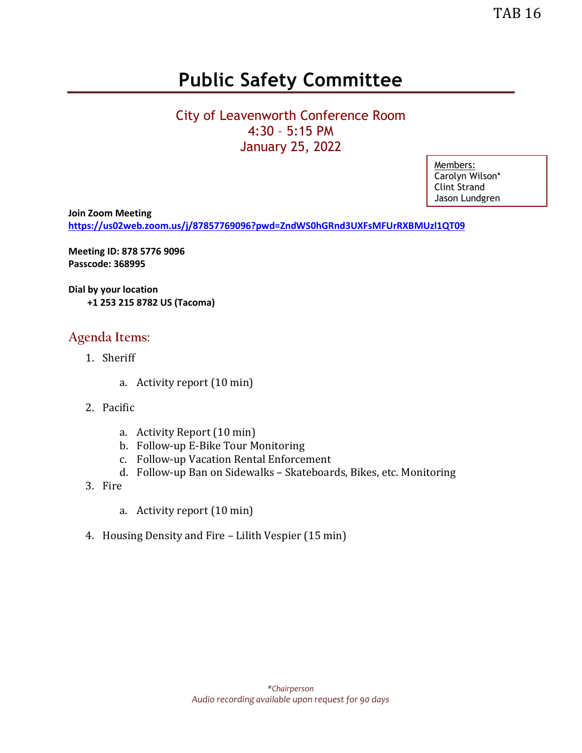# **Public Safety Committee**

### City of Leavenworth Conference Room 4:30 – 5:15 PM January 25, 2022

Members: Carolyn Wilson\* Clint Strand Jason Lundgren

**Join Zoom Meeting <https://us02web.zoom.us/j/87857769096?pwd=ZndWS0hGRnd3UXFsMFUrRXBMUzl1QT09>**

**Meeting ID: 878 5776 9096 Passcode: 368995**

**Dial by your location +1 253 215 8782 US (Tacoma)**

#### **Agenda Items:**

- 1. Sheriff
	- a. Activity report (10 min)
- 2. Pacific
	- a. Activity Report (10 min)
	- b. Follow-up E-Bike Tour Monitoring
	- c. Follow-up Vacation Rental Enforcement
	- d. Follow-up Ban on Sidewalks Skateboards, Bikes, etc. Monitoring
- 3. Fire
	- a. Activity report (10 min)
- 4. Housing Density and Fire Lilith Vespier (15 min)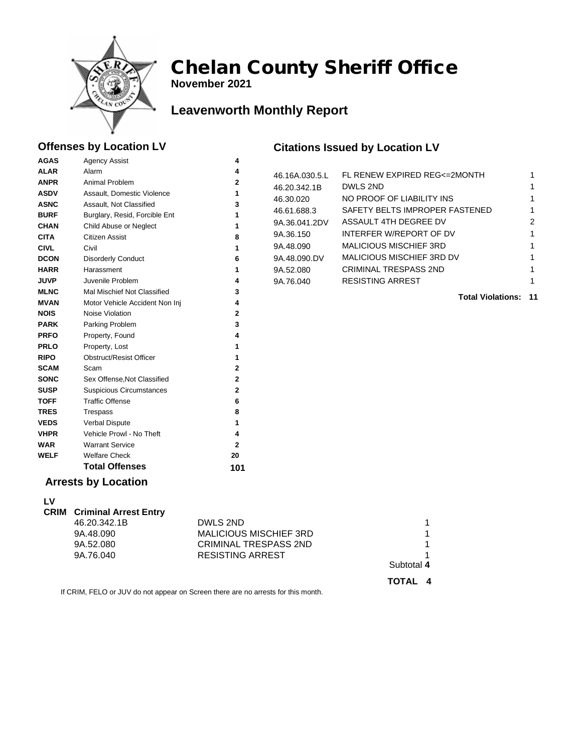

**November 2021**

## **Leavenworth Monthly Report**

#### **Offenses by Location LV**

**AGAS** Agency Assist **4** 

#### **Citations Issued by Location LV**

| <b>ALAR</b><br><b>ANPR</b><br><b>ASDV</b><br><b>ASNC</b><br><b>BURF</b><br><b>CHAN</b><br><b>CITA</b><br><b>CIVL</b><br><b>DCON</b> | Alarm<br>Animal Problem<br>Assault, Domestic Violence<br>Assault, Not Classified<br>Burglary, Resid, Forcible Ent<br>Child Abuse or Neglect<br>Citizen Assist<br>Civil<br><b>Disorderly Conduct</b> | 4<br>$\mathbf 2$<br>1<br>3<br>1<br>1<br>8<br>1<br>6 | 46.16A.030.5.L<br>46.20.342.1B<br>46.30.020<br>46.61.688.3<br>9A.36.041.2DV<br>9A.36.150<br>9A.48.090<br>9A.48.090.DV | FL RENEW EXPIRED REG<=2MONTH<br><b>DWLS 2ND</b><br>NO PROOF OF LIABILITY INS<br>SAFETY BELTS IMPROPER FASTENED<br>ASSAULT 4TH DEGREE DV<br>INTERFER W/REPORT OF DV<br><b>MALICIOUS MISCHIEF 3RD</b><br>MALICIOUS MISCHIEF 3RD DV | 2 |
|-------------------------------------------------------------------------------------------------------------------------------------|-----------------------------------------------------------------------------------------------------------------------------------------------------------------------------------------------------|-----------------------------------------------------|-----------------------------------------------------------------------------------------------------------------------|----------------------------------------------------------------------------------------------------------------------------------------------------------------------------------------------------------------------------------|---|
| <b>HARR</b>                                                                                                                         | Harassment                                                                                                                                                                                          | 1                                                   | 9A.52.080                                                                                                             | <b>CRIMINAL TRESPASS 2ND</b>                                                                                                                                                                                                     |   |
| <b>JUVP</b>                                                                                                                         | Juvenile Problem                                                                                                                                                                                    | 4                                                   | 9A.76.040                                                                                                             | <b>RESISTING ARREST</b>                                                                                                                                                                                                          |   |
| <b>MLNC</b>                                                                                                                         | Mal Mischief Not Classified                                                                                                                                                                         | 3                                                   |                                                                                                                       | <b>Total Violations: 11</b>                                                                                                                                                                                                      |   |
| <b>MVAN</b>                                                                                                                         | Motor Vehicle Accident Non Inj                                                                                                                                                                      | 4                                                   |                                                                                                                       |                                                                                                                                                                                                                                  |   |
| <b>NOIS</b>                                                                                                                         | Noise Violation                                                                                                                                                                                     | $\mathbf 2$                                         |                                                                                                                       |                                                                                                                                                                                                                                  |   |
| <b>PARK</b>                                                                                                                         | Parking Problem                                                                                                                                                                                     | 3                                                   |                                                                                                                       |                                                                                                                                                                                                                                  |   |
| <b>PRFO</b>                                                                                                                         | Property, Found                                                                                                                                                                                     |                                                     |                                                                                                                       |                                                                                                                                                                                                                                  |   |
| <b>PRLO</b>                                                                                                                         | Property, Lost                                                                                                                                                                                      |                                                     |                                                                                                                       |                                                                                                                                                                                                                                  |   |
| <b>RIPO</b>                                                                                                                         | <b>Obstruct/Resist Officer</b>                                                                                                                                                                      |                                                     |                                                                                                                       |                                                                                                                                                                                                                                  |   |
| <b>SCAM</b>                                                                                                                         | Scam                                                                                                                                                                                                | $\mathbf{2}$                                        |                                                                                                                       |                                                                                                                                                                                                                                  |   |
| <b>SONC</b>                                                                                                                         | Sex Offense, Not Classified                                                                                                                                                                         | $\overline{2}$                                      |                                                                                                                       |                                                                                                                                                                                                                                  |   |
| <b>SUSP</b>                                                                                                                         | <b>Suspicious Circumstances</b>                                                                                                                                                                     | $\mathbf{2}$                                        |                                                                                                                       |                                                                                                                                                                                                                                  |   |
| <b>TOFF</b>                                                                                                                         | <b>Traffic Offense</b>                                                                                                                                                                              | 6                                                   |                                                                                                                       |                                                                                                                                                                                                                                  |   |
| <b>TRES</b>                                                                                                                         | Trespass                                                                                                                                                                                            | 8                                                   |                                                                                                                       |                                                                                                                                                                                                                                  |   |
| <b>VEDS</b>                                                                                                                         | Verbal Dispute                                                                                                                                                                                      | 1                                                   |                                                                                                                       |                                                                                                                                                                                                                                  |   |
| <b>VHPR</b>                                                                                                                         | Vehicle Prowl - No Theft                                                                                                                                                                            | 4                                                   |                                                                                                                       |                                                                                                                                                                                                                                  |   |
| <b>WAR</b>                                                                                                                          | <b>Warrant Service</b>                                                                                                                                                                              | 2                                                   |                                                                                                                       |                                                                                                                                                                                                                                  |   |
| <b>WELF</b>                                                                                                                         | <b>Welfare Check</b>                                                                                                                                                                                | 20                                                  |                                                                                                                       |                                                                                                                                                                                                                                  |   |
|                                                                                                                                     | <b>Total Offenses</b>                                                                                                                                                                               | 101                                                 |                                                                                                                       |                                                                                                                                                                                                                                  |   |
|                                                                                                                                     | <b>Arrests by Location</b>                                                                                                                                                                          |                                                     |                                                                                                                       |                                                                                                                                                                                                                                  |   |

#### **Arrests by Location**

| LV |                                   |                               |                     |
|----|-----------------------------------|-------------------------------|---------------------|
|    | <b>CRIM</b> Criminal Arrest Entry |                               |                     |
|    | 46.20.342.1B                      | DWLS 2ND                      |                     |
|    | 9A.48.090                         | <b>MALICIOUS MISCHIEF 3RD</b> |                     |
|    | 9A.52.080                         | <b>CRIMINAL TRESPASS 2ND</b>  |                     |
|    | 9A.76.040                         | <b>RESISTING ARREST</b>       |                     |
|    |                                   |                               | Subtotal 4          |
|    |                                   |                               | <b>TOTAL</b><br>- 4 |

If CRIM, FELO or JUV do not appear on Screen there are no arrests for this month.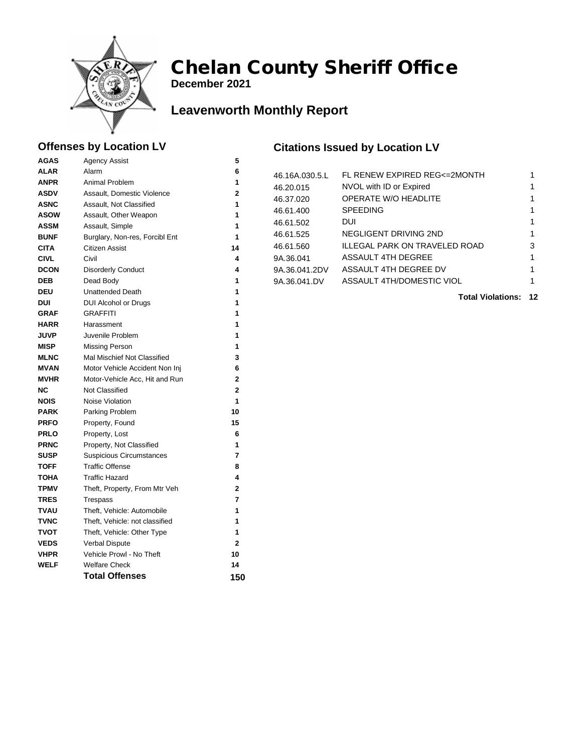

**December 2021**

### **Leavenworth Monthly Report**

#### **Offenses by Location LV**

**AGAS** Agency Assist **5** 

#### **Citations Issued by Location LV**

**Total Violations: 12**

| <b>ALAR</b> | Alarm                           | 6            | 46.16A.030.5.L | FL RENEW EXPIRED REG<=2MONTH  | 1 |
|-------------|---------------------------------|--------------|----------------|-------------------------------|---|
| <b>ANPR</b> | Animal Problem                  | 1            | 46.20.015      | NVOL with ID or Expired       | 1 |
| <b>ASDV</b> | Assault, Domestic Violence      | $\mathbf{2}$ | 46.37.020      | OPERATE W/O HEADLITE          | 1 |
| <b>ASNC</b> | Assault, Not Classified         | 1            | 46.61.400      | <b>SPEEDING</b>               | 1 |
| <b>ASOW</b> | Assault, Other Weapon           | 1            | 46.61.502      | <b>DUI</b>                    | 1 |
| <b>ASSM</b> | Assault, Simple                 | 1            | 46.61.525      | NEGLIGENT DRIVING 2ND         |   |
| <b>BUNF</b> | Burglary, Non-res, Forcibl Ent  | 1            |                | ILLEGAL PARK ON TRAVELED ROAD |   |
| <b>CITA</b> | Citizen Assist                  | 14           | 46.61.560      |                               | 3 |
| <b>CIVL</b> | Civil                           | 4            | 9A.36.041      | ASSAULT 4TH DEGREE            |   |
| <b>DCON</b> | <b>Disorderly Conduct</b>       | 4            | 9A.36.041.2DV  | ASSAULT 4TH DEGREE DV         |   |
| <b>DEB</b>  | Dead Body                       | 1            | 9A.36.041.DV   | ASSAULT 4TH/DOMESTIC VIOL     |   |
| <b>DEU</b>  | <b>Unattended Death</b>         | 1            |                | <b>Total Violations: 1</b>    |   |
| <b>DUI</b>  | <b>DUI Alcohol or Drugs</b>     | 1            |                |                               |   |
| <b>GRAF</b> | <b>GRAFFITI</b>                 | 1            |                |                               |   |
| <b>HARR</b> | Harassment                      | 1            |                |                               |   |
| <b>JUVP</b> | Juvenile Problem                | 1            |                |                               |   |
| <b>MISP</b> | <b>Missing Person</b>           | 1            |                |                               |   |
| <b>MLNC</b> | Mal Mischief Not Classified     | 3            |                |                               |   |
| <b>MVAN</b> | Motor Vehicle Accident Non Inj  | 6            |                |                               |   |
| <b>MVHR</b> | Motor-Vehicle Acc, Hit and Run  | $\mathbf{2}$ |                |                               |   |
| <b>NC</b>   | Not Classified                  | $\mathbf{2}$ |                |                               |   |
| <b>NOIS</b> | Noise Violation                 | 1            |                |                               |   |
| <b>PARK</b> | Parking Problem                 | 10           |                |                               |   |
| <b>PRFO</b> | Property, Found                 | 15           |                |                               |   |
| <b>PRLO</b> | Property, Lost                  | 6            |                |                               |   |
| <b>PRNC</b> | Property, Not Classified        | 1            |                |                               |   |
| <b>SUSP</b> | <b>Suspicious Circumstances</b> | 7            |                |                               |   |
| <b>TOFF</b> | <b>Traffic Offense</b>          | 8            |                |                               |   |
| <b>TOHA</b> | <b>Traffic Hazard</b>           | 4            |                |                               |   |
| <b>TPMV</b> | Theft, Property, From Mtr Veh   | 2            |                |                               |   |
| <b>TRES</b> | Trespass                        | 7            |                |                               |   |
| <b>TVAU</b> | Theft, Vehicle: Automobile      | 1            |                |                               |   |
| <b>TVNC</b> | Theft, Vehicle: not classified  | 1            |                |                               |   |
| TVOT        | Theft, Vehicle: Other Type      | 1            |                |                               |   |
| <b>VEDS</b> | Verbal Dispute                  | $\mathbf{2}$ |                |                               |   |
| <b>VHPR</b> | Vehicle Prowl - No Theft        | 10           |                |                               |   |
| <b>WELF</b> | <b>Welfare Check</b>            | 14           |                |                               |   |
|             | <b>Total Offenses</b>           | 150          |                |                               |   |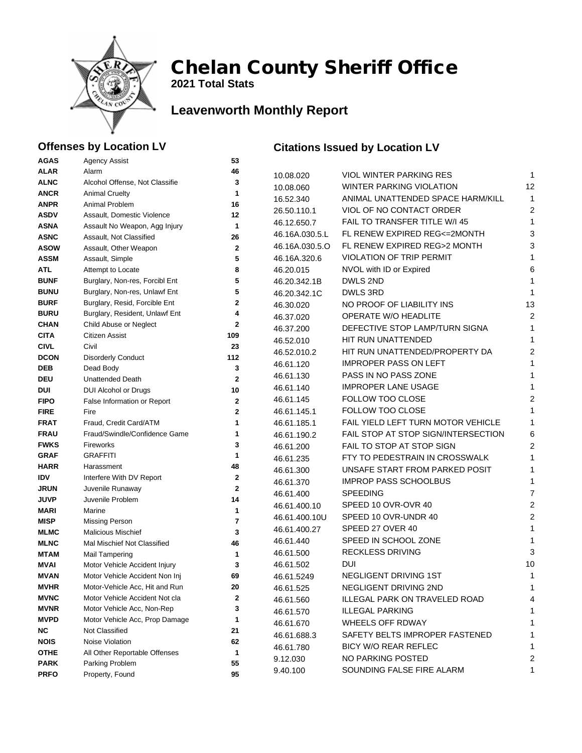

**2021 Total Stats**

## **Leavenworth Monthly Report**

#### **Offenses by Location LV**

#### **Citations Issued by Location LV**

| <b>AGAS</b>                | <b>Agency Assist</b>                                            | 53                 |                |                                      |                |
|----------------------------|-----------------------------------------------------------------|--------------------|----------------|--------------------------------------|----------------|
| <b>ALAR</b>                | Alarm                                                           | 46                 | 10.08.020      | VIOL WINTER PARKING RES              | 1              |
| <b>ALNC</b>                | Alcohol Offense, Not Classifie                                  | 3                  | 10.08.060      | WINTER PARKING VIOLATION             | 12             |
| <b>ANCR</b>                | <b>Animal Cruelty</b>                                           | 1                  | 16.52.340      | ANIMAL UNATTENDED SPACE HARM/KILL    | 1              |
| <b>ANPR</b>                | Animal Problem                                                  | 16                 | 26.50.110.1    | VIOL OF NO CONTACT ORDER             | $\overline{2}$ |
| <b>ASDV</b>                | Assault, Domestic Violence                                      | 12                 | 46.12.650.7    | FAIL TO TRANSFER TITLE W/I 45        | 1              |
| <b>ASNA</b>                | Assault No Weapon, Agg Injury                                   | 1                  | 46.16A.030.5.L | FL RENEW EXPIRED REG<=2MONTH         | 3              |
| <b>ASNC</b>                | Assault, Not Classified                                         | 26                 |                | FL RENEW EXPIRED REG>2 MONTH         | 3              |
| <b>ASOW</b>                | Assault, Other Weapon                                           | $\mathbf 2$        | 46.16A.030.5.O | <b>VIOLATION OF TRIP PERMIT</b>      |                |
| <b>ASSM</b>                | Assault, Simple                                                 | 5                  | 46.16A.320.6   |                                      | 1              |
| <b>ATL</b>                 | Attempt to Locate                                               | 8                  | 46.20.015      | NVOL with ID or Expired              | 6              |
| <b>BUNF</b>                | Burglary, Non-res, Forcibl Ent                                  | 5                  | 46.20.342.1B   | DWLS 2ND                             | 1              |
| <b>BUNU</b>                | Burglary, Non-res, Unlawf Ent                                   | 5                  | 46.20.342.1C   | DWLS 3RD                             | 1              |
| <b>BURF</b>                | Burglary, Resid, Forcible Ent                                   | $\mathbf 2$        | 46.30.020      | NO PROOF OF LIABILITY INS            | 13             |
| <b>BURU</b>                | Burglary, Resident, Unlawf Ent                                  | 4                  | 46.37.020      | OPERATE W/O HEADLITE                 | $\overline{2}$ |
| <b>CHAN</b>                | Child Abuse or Neglect<br>Citizen Assist                        | $\mathbf 2$<br>109 | 46.37.200      | DEFECTIVE STOP LAMP/TURN SIGNA       | 1              |
| <b>CITA</b><br><b>CIVL</b> | Civil                                                           | 23                 | 46.52.010      | HIT RUN UNATTENDED                   | 1              |
| <b>DCON</b>                | <b>Disorderly Conduct</b>                                       | 112                | 46.52.010.2    | HIT RUN UNATTENDED/PROPERTY DA       | 2              |
| <b>DEB</b>                 | Dead Body                                                       | 3                  | 46.61.120      | <b>IMPROPER PASS ON LEFT</b>         | 1              |
| <b>DEU</b>                 | <b>Unattended Death</b>                                         | $\mathbf{2}$       | 46.61.130      | PASS IN NO PASS ZONE                 | 1              |
| DUI                        | <b>DUI Alcohol or Drugs</b>                                     | 10                 | 46.61.140      | <b>IMPROPER LANE USAGE</b>           | 1              |
| <b>FIPO</b>                | False Information or Report                                     | $\mathbf 2$        | 46.61.145      | FOLLOW TOO CLOSE                     | $\overline{2}$ |
| <b>FIRE</b>                | Fire                                                            | $\mathbf{2}$       | 46.61.145.1    | FOLLOW TOO CLOSE                     | 1              |
| <b>FRAT</b>                | Fraud, Credit Card/ATM                                          | $\mathbf{1}$       | 46.61.185.1    | FAIL YIELD LEFT TURN MOTOR VEHICLE   | 1              |
| <b>FRAU</b>                | Fraud/Swindle/Confidence Game                                   | 1                  | 46.61.190.2    | FAIL STOP AT STOP SIGN/INTERSECTION  | 6              |
| <b>FWKS</b>                | Fireworks                                                       | 3                  | 46.61.200      | FAIL TO STOP AT STOP SIGN            | $\overline{2}$ |
| <b>GRAF</b>                | <b>GRAFFITI</b>                                                 | 1                  | 46.61.235      | FTY TO PEDESTRAIN IN CROSSWALK       | 1              |
| <b>HARR</b>                | Harassment                                                      | 48                 | 46.61.300      | UNSAFE START FROM PARKED POSIT       | 1              |
| <b>IDV</b>                 | Interfere With DV Report                                        | 2                  | 46.61.370      | <b>IMPROP PASS SCHOOLBUS</b>         | 1              |
| <b>JRUN</b>                | Juvenile Runaway                                                | $\mathbf 2$        | 46.61.400      | <b>SPEEDING</b>                      | 7              |
| <b>JUVP</b>                | Juvenile Problem                                                | 14                 | 46.61.400.10   | SPEED 10 OVR-OVR 40                  | 2              |
| <b>MARI</b>                | Marine                                                          | 1                  | 46.61.400.10U  | SPEED 10 OVR-UNDR 40                 | 2              |
| <b>MISP</b>                | Missing Person                                                  | $\overline{7}$     | 46.61.400.27   | SPEED 27 OVER 40                     | 1              |
| <b>MLMC</b>                | <b>Malicious Mischief</b>                                       | 3                  | 46.61.440      | SPEED IN SCHOOL ZONE                 | 1              |
| <b>MLNC</b>                | Mal Mischief Not Classified                                     | 46                 | 46.61.500      | <b>RECKLESS DRIVING</b>              | 3              |
| <b>MTAM</b>                | <b>Mail Tampering</b>                                           | 1<br>3             | 46.61.502      | DUI                                  | 10             |
| <b>MVAI</b><br><b>MVAN</b> | Motor Vehicle Accident Injury<br>Motor Vehicle Accident Non Inj | 69                 | 46.61.5249     | NEGLIGENT DRIVING 1ST                | 1              |
| <b>MVHR</b>                | Motor-Vehicle Acc, Hit and Run                                  | 20                 |                | NEGLIGENT DRIVING 2ND                | 1              |
| <b>MVNC</b>                | Motor Vehicle Accident Not cla                                  | 2                  | 46.61.525      | <b>ILLEGAL PARK ON TRAVELED ROAD</b> |                |
| <b>MVNR</b>                | Motor Vehicle Acc, Non-Rep                                      | 3                  | 46.61.560      | <b>ILLEGAL PARKING</b>               | 4              |
| <b>MVPD</b>                | Motor Vehicle Acc, Prop Damage                                  | 1                  | 46.61.570      |                                      | 1              |
| ΝC                         | Not Classified                                                  | 21                 | 46.61.670      | WHEELS OFF RDWAY                     | 1              |
| <b>NOIS</b>                | Noise Violation                                                 | 62                 | 46.61.688.3    | SAFETY BELTS IMPROPER FASTENED       | 1              |
| <b>OTHE</b>                | All Other Reportable Offenses                                   | 1                  | 46.61.780      | <b>BICY W/O REAR REFLEC</b>          | 1              |
| <b>PARK</b>                | Parking Problem                                                 | 55                 | 9.12.030       | NO PARKING POSTED                    | 2              |
| <b>PRFO</b>                | Property, Found                                                 | 95                 | 9.40.100       | SOUNDING FALSE FIRE ALARM            | $\mathbf 1$    |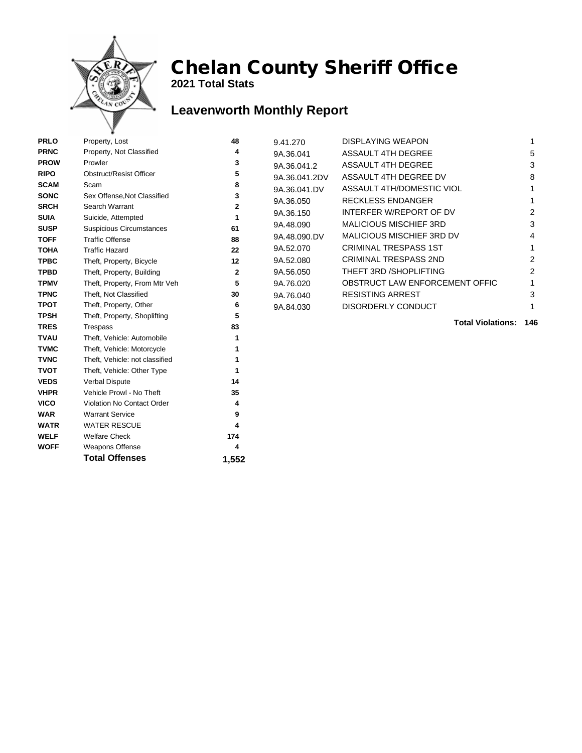

**WOFF** Weapons Offense **4** 

Total Offenses 1,552

## Chelan County Sheriff Office

**2021 Total Stats**

## **Leavenworth Monthly Report**

| <b>PRLO</b> | Property, Lost                  | 48             | 9.41.270      | <b>DISPLAYING WEAPON</b>         |     |
|-------------|---------------------------------|----------------|---------------|----------------------------------|-----|
| <b>PRNC</b> | Property, Not Classified        | 4              | 9A.36.041     | <b>ASSAULT 4TH DEGREE</b>        | 5   |
| <b>PROW</b> | Prowler                         | 3              | 9A.36.041.2   | <b>ASSAULT 4TH DEGREE</b>        | 3   |
| <b>RIPO</b> | <b>Obstruct/Resist Officer</b>  | 5              | 9A.36.041.2DV | ASSAULT 4TH DEGREE DV            | 8   |
| <b>SCAM</b> | Scam                            | 8              | 9A.36.041.DV  | ASSAULT 4TH/DOMESTIC VIOL        |     |
| <b>SONC</b> | Sex Offense, Not Classified     | 3              | 9A.36.050     | <b>RECKLESS ENDANGER</b>         |     |
| <b>SRCH</b> | Search Warrant                  | 2              | 9A.36.150     | INTERFER W/REPORT OF DV          | 2   |
| <b>SUIA</b> | Suicide, Attempted              | 1              | 9A.48.090     | <b>MALICIOUS MISCHIEF 3RD</b>    | 3   |
| <b>SUSP</b> | <b>Suspicious Circumstances</b> | 61             |               | <b>MALICIOUS MISCHIEF 3RD DV</b> | 4   |
| <b>TOFF</b> | <b>Traffic Offense</b>          | 88             | 9A.48.090.DV  |                                  |     |
| <b>TOHA</b> | <b>Traffic Hazard</b>           | 22             | 9A.52.070     | <b>CRIMINAL TRESPASS 1ST</b>     |     |
| <b>TPBC</b> | Theft, Property, Bicycle        | 12             | 9A.52.080     | <b>CRIMINAL TRESPASS 2ND</b>     | 2   |
| <b>TPBD</b> | Theft, Property, Building       | $\overline{2}$ | 9A.56.050     | THEFT 3RD / SHOPLIFTING          | 2   |
| <b>TPMV</b> | Theft, Property, From Mtr Veh   | 5              | 9A.76.020     | OBSTRUCT LAW ENFORCEMENT OFFIC   |     |
| <b>TPNC</b> | Theft, Not Classified           | 30             | 9A.76.040     | <b>RESISTING ARREST</b>          | 3   |
| <b>TPOT</b> | Theft, Property, Other          | 6              | 9A.84.030     | <b>DISORDERLY CONDUCT</b>        |     |
| <b>TPSH</b> | Theft, Property, Shoplifting    | 5              |               | <b>Total Violations:</b>         | 146 |
| <b>TRES</b> | Trespass                        | 83             |               |                                  |     |
| <b>TVAU</b> | Theft, Vehicle: Automobile      |                |               |                                  |     |
| <b>TVMC</b> | Theft, Vehicle: Motorcycle      |                |               |                                  |     |
| <b>TVNC</b> | Theft, Vehicle: not classified  |                |               |                                  |     |
| <b>TVOT</b> | Theft, Vehicle: Other Type      |                |               |                                  |     |
| <b>VEDS</b> | <b>Verbal Dispute</b>           | 14             |               |                                  |     |
| <b>VHPR</b> | Vehicle Prowl - No Theft        | 35             |               |                                  |     |
| <b>VICO</b> | Violation No Contact Order      |                |               |                                  |     |
| <b>WAR</b>  | <b>Warrant Service</b>          | 9              |               |                                  |     |
| <b>WATR</b> | <b>WATER RESCUE</b>             |                |               |                                  |     |
| <b>WELF</b> | <b>Welfare Check</b>            | 174            |               |                                  |     |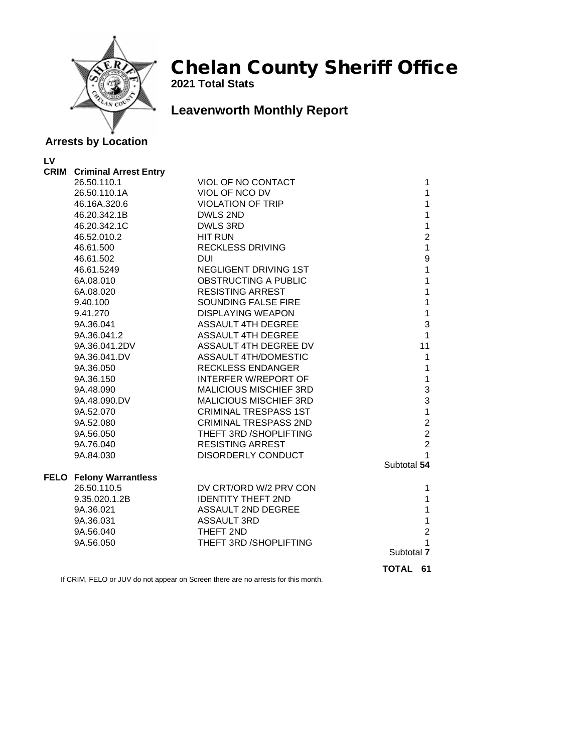

**2021 Total Stats**

## **Leavenworth Monthly Report**

#### **Arrests by Location**

**LV**

| <b>CRIM</b> Criminal Arrest Entry |                               |             |                         |
|-----------------------------------|-------------------------------|-------------|-------------------------|
| 26.50.110.1                       | VIOL OF NO CONTACT            |             | 1                       |
| 26.50.110.1A                      | VIOL OF NCO DV                |             | $\mathbf{1}$            |
| 46.16A.320.6                      | <b>VIOLATION OF TRIP</b>      |             | $\mathbf{1}$            |
| 46.20.342.1B                      | DWLS 2ND                      |             | $\mathbf{1}$            |
| 46.20.342.1C                      | <b>DWLS 3RD</b>               |             | $\mathbf{1}$            |
| 46.52.010.2                       | <b>HIT RUN</b>                |             | $\overline{2}$          |
| 46.61.500                         | <b>RECKLESS DRIVING</b>       |             | $\mathbf{1}$            |
| 46.61.502                         | <b>DUI</b>                    |             | 9                       |
| 46.61.5249                        | NEGLIGENT DRIVING 1ST         |             | $\mathbf{1}$            |
| 6A.08.010                         | OBSTRUCTING A PUBLIC          |             | $\mathbf{1}$            |
| 6A.08.020                         | <b>RESISTING ARREST</b>       |             | $\mathbf{1}$            |
| 9.40.100                          | SOUNDING FALSE FIRE           |             | $\mathbf{1}$            |
| 9.41.270                          | <b>DISPLAYING WEAPON</b>      |             | $\mathbf{1}$            |
| 9A.36.041                         | <b>ASSAULT 4TH DEGREE</b>     |             | 3                       |
| 9A.36.041.2                       | <b>ASSAULT 4TH DEGREE</b>     |             | $\mathbf{1}$            |
| 9A.36.041.2DV                     | ASSAULT 4TH DEGREE DV         |             | 11                      |
| 9A.36.041.DV                      | <b>ASSAULT 4TH/DOMESTIC</b>   |             | $\mathbf{1}$            |
| 9A.36.050                         | <b>RECKLESS ENDANGER</b>      |             | $\mathbf{1}$            |
| 9A.36.150                         | <b>INTERFER W/REPORT OF</b>   |             | $\mathbf{1}$            |
| 9A.48.090                         | <b>MALICIOUS MISCHIEF 3RD</b> |             | 3                       |
| 9A.48.090.DV                      | MALICIOUS MISCHIEF 3RD        |             | 3                       |
| 9A.52.070                         | <b>CRIMINAL TRESPASS 1ST</b>  |             | $\mathbf{1}$            |
| 9A.52.080                         | <b>CRIMINAL TRESPASS 2ND</b>  |             | $\overline{\mathbf{c}}$ |
| 9A.56.050                         | THEFT 3RD / SHOPLIFTING       |             | $\overline{2}$          |
| 9A.76.040                         | <b>RESISTING ARREST</b>       |             | $\overline{2}$          |
| 9A.84.030                         | DISORDERLY CONDUCT            |             | 1                       |
|                                   |                               | Subtotal 54 |                         |
| <b>FELO Felony Warrantless</b>    |                               |             |                         |
| 26.50.110.5                       | DV CRT/ORD W/2 PRV CON        |             | 1                       |
| 9.35.020.1.2B                     | <b>IDENTITY THEFT 2ND</b>     |             | $\mathbf{1}$            |
| 9A.36.021                         | ASSAULT 2ND DEGREE            |             | $\mathbf{1}$            |
| 9A.36.031                         | <b>ASSAULT 3RD</b>            |             | $\mathbf{1}$            |
| 9A.56.040                         | THEFT 2ND                     |             | $\overline{2}$          |
| 9A.56.050                         | THEFT 3RD / SHOPLIFTING       |             | 1                       |
|                                   |                               | Subtotal 7  |                         |
|                                   |                               | TOTAL       | 61                      |
|                                   |                               |             |                         |

If CRIM, FELO or JUV do not appear on Screen there are no arrests for this month.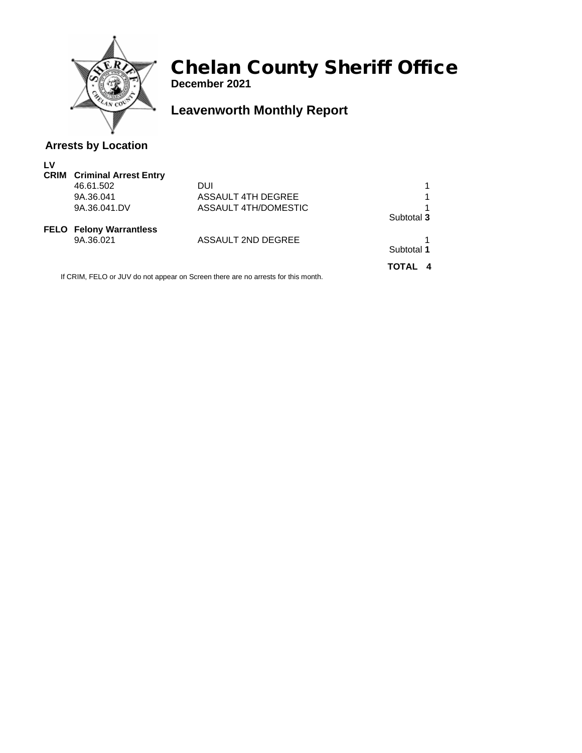

**December 2021**

## **Leavenworth Monthly Report**

#### **Arrests by Location**

| LV |                                   |                           |            |
|----|-----------------------------------|---------------------------|------------|
|    | <b>CRIM</b> Criminal Arrest Entry |                           |            |
|    | 46.61.502                         | DUI                       |            |
|    | 9A.36.041                         | <b>ASSAULT 4TH DEGREE</b> |            |
|    | 9A.36.041.DV                      | ASSAULT 4TH/DOMESTIC      |            |
|    |                                   |                           | Subtotal 3 |
|    | <b>FELO</b> Felony Warrantless    |                           |            |
|    | 9A.36.021                         | ASSAULT 2ND DEGREE        |            |
|    |                                   |                           | Subtotal 1 |
|    |                                   |                           | TOTAL      |

If CRIM, FELO or JUV do not appear on Screen there are no arrests for this month.